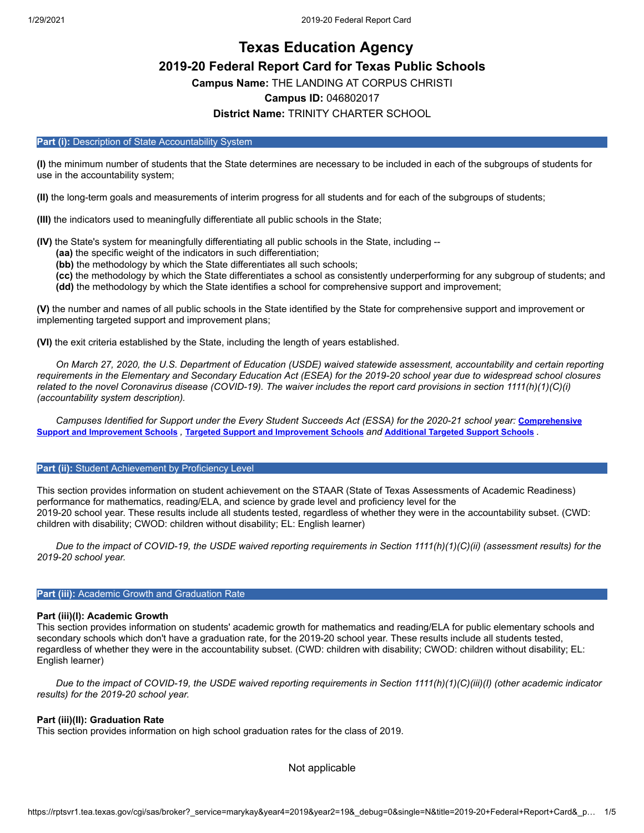# **Texas Education Agency 2019-20 Federal Report Card for Texas Public Schools**

**Campus Name:** THE LANDING AT CORPUS CHRISTI

# **Campus ID:** 046802017

# **District Name:** TRINITY CHARTER SCHOOL

#### Part (i): Description of State Accountability System

**(I)** the minimum number of students that the State determines are necessary to be included in each of the subgroups of students for use in the accountability system;

**(II)** the long-term goals and measurements of interim progress for all students and for each of the subgroups of students;

**(III)** the indicators used to meaningfully differentiate all public schools in the State;

**(IV)** the State's system for meaningfully differentiating all public schools in the State, including --

**(aa)** the specific weight of the indicators in such differentiation;

**(bb)** the methodology by which the State differentiates all such schools;

**(cc)** the methodology by which the State differentiates a school as consistently underperforming for any subgroup of students; and **(dd)** the methodology by which the State identifies a school for comprehensive support and improvement;

**(V)** the number and names of all public schools in the State identified by the State for comprehensive support and improvement or implementing targeted support and improvement plans;

**(VI)** the exit criteria established by the State, including the length of years established.

*On March 27, 2020, the U.S. Department of Education (USDE) waived statewide assessment, accountability and certain reporting requirements in the Elementary and Secondary Education Act (ESEA) for the 2019-20 school year due to widespread school closures related to the novel Coronavirus disease (COVID-19). The waiver includes the report card provisions in section 1111(h)(1)(C)(i) (accountability system description).*

*[Campuses Identified for Support under the Every Student Succeeds Act \(ESSA\) for the 2020-21 school year:](https://tea.texas.gov/sites/default/files/comprehensive_support_2020.xlsx) Comprehensive* Support and [Improvement](https://tea.texas.gov/sites/default/files/targeted_support_2020.xlsx) Schools , Targeted Support and Improvement Schools and [Additional](https://tea.texas.gov/sites/default/files/additional_targeted_support_2020.xlsx) Targeted Support Schools .

#### **Part (ii):** Student Achievement by Proficiency Level

This section provides information on student achievement on the STAAR (State of Texas Assessments of Academic Readiness) performance for mathematics, reading/ELA, and science by grade level and proficiency level for the 2019-20 school year. These results include all students tested, regardless of whether they were in the accountability subset. (CWD: children with disability; CWOD: children without disability; EL: English learner)

*Due to the impact of COVID-19, the USDE waived reporting requirements in Section 1111(h)(1)(C)(ii) (assessment results) for the 2019-20 school year.*

#### **Part (iii): Academic Growth and Graduation Rate**

## **Part (iii)(I): Academic Growth**

This section provides information on students' academic growth for mathematics and reading/ELA for public elementary schools and secondary schools which don't have a graduation rate, for the 2019-20 school year. These results include all students tested, regardless of whether they were in the accountability subset. (CWD: children with disability; CWOD: children without disability; EL: English learner)

*Due to the impact of COVID-19, the USDE waived reporting requirements in Section 1111(h)(1)(C)(iii)(I) (other academic indicator results) for the 2019-20 school year.*

## **Part (iii)(II): Graduation Rate**

This section provides information on high school graduation rates for the class of 2019.

Not applicable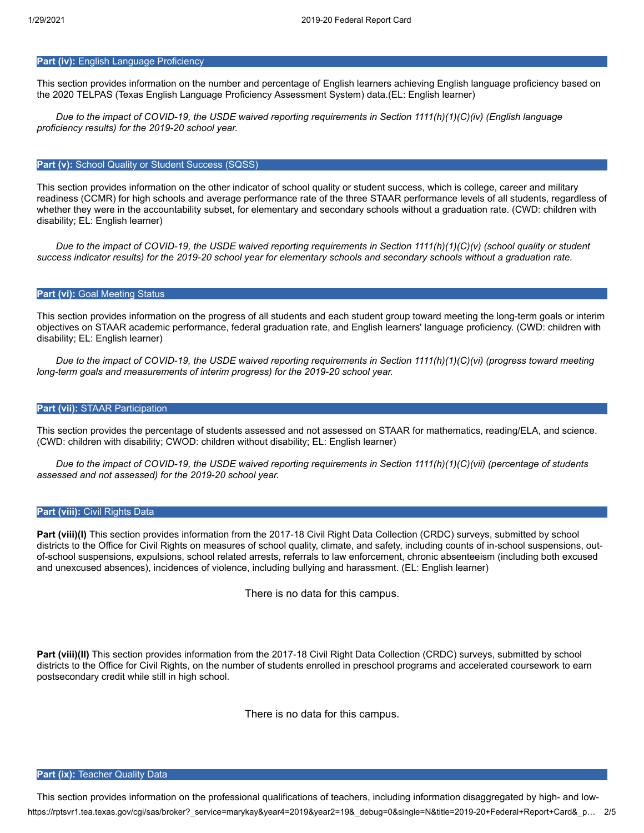# **Part (iv): English Language Proficiency**

This section provides information on the number and percentage of English learners achieving English language proficiency based on the 2020 TELPAS (Texas English Language Proficiency Assessment System) data.(EL: English learner)

*Due to the impact of COVID-19, the USDE waived reporting requirements in Section 1111(h)(1)(C)(iv) (English language proficiency results) for the 2019-20 school year.*

#### **Part (v):** School Quality or Student Success (SQSS)

This section provides information on the other indicator of school quality or student success, which is college, career and military readiness (CCMR) for high schools and average performance rate of the three STAAR performance levels of all students, regardless of whether they were in the accountability subset, for elementary and secondary schools without a graduation rate. (CWD: children with disability; EL: English learner)

*Due to the impact of COVID-19, the USDE waived reporting requirements in Section 1111(h)(1)(C)(v) (school quality or student success indicator results) for the 2019-20 school year for elementary schools and secondary schools without a graduation rate.*

#### **Part (vi): Goal Meeting Status**

This section provides information on the progress of all students and each student group toward meeting the long-term goals or interim objectives on STAAR academic performance, federal graduation rate, and English learners' language proficiency. (CWD: children with disability; EL: English learner)

*Due to the impact of COVID-19, the USDE waived reporting requirements in Section 1111(h)(1)(C)(vi) (progress toward meeting long-term goals and measurements of interim progress) for the 2019-20 school year.*

# **Part (vii): STAAR Participation**

This section provides the percentage of students assessed and not assessed on STAAR for mathematics, reading/ELA, and science. (CWD: children with disability; CWOD: children without disability; EL: English learner)

*Due to the impact of COVID-19, the USDE waived reporting requirements in Section 1111(h)(1)(C)(vii) (percentage of students assessed and not assessed) for the 2019-20 school year.*

#### **Part (viii):** Civil Rights Data

Part (viii)(I) This section provides information from the 2017-18 Civil Right Data Collection (CRDC) surveys, submitted by school districts to the Office for Civil Rights on measures of school quality, climate, and safety, including counts of in-school suspensions, outof-school suspensions, expulsions, school related arrests, referrals to law enforcement, chronic absenteeism (including both excused and unexcused absences), incidences of violence, including bullying and harassment. (EL: English learner)

There is no data for this campus.

**Part (viii)(II)** This section provides information from the 2017-18 Civil Right Data Collection (CRDC) surveys, submitted by school districts to the Office for Civil Rights, on the number of students enrolled in preschool programs and accelerated coursework to earn postsecondary credit while still in high school.

There is no data for this campus.

#### **Part (ix): Teacher Quality Data**

https://rptsvr1.tea.texas.gov/cgi/sas/broker?\_service=marykay&year4=2019&year2=19&\_debug=0&single=N&title=2019-20+Federal+Report+Card&\_p… 2/5 This section provides information on the professional qualifications of teachers, including information disaggregated by high- and low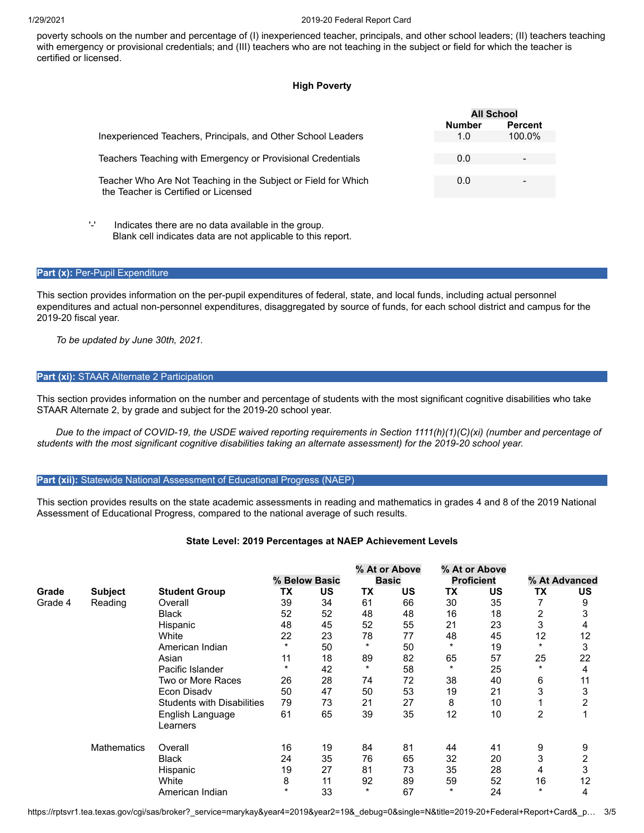poverty schools on the number and percentage of (I) inexperienced teacher, principals, and other school leaders; (II) teachers teaching with emergency or provisional credentials; and (III) teachers who are not teaching in the subject or field for which the teacher is certified or licensed.

## **High Poverty**

|                                                                                                        | <b>All School</b> |                |  |
|--------------------------------------------------------------------------------------------------------|-------------------|----------------|--|
|                                                                                                        | <b>Number</b>     | <b>Percent</b> |  |
| Inexperienced Teachers, Principals, and Other School Leaders                                           | 1.0               | 100.0%         |  |
| Teachers Teaching with Emergency or Provisional Credentials                                            | 0.0               |                |  |
| Teacher Who Are Not Teaching in the Subject or Field for Which<br>the Teacher is Certified or Licensed | 0.0               | -              |  |
| Ψ<br>Indicates there are no data available in the group.                                               |                   |                |  |

Blank cell indicates data are not applicable to this report.

## Part (x): Per-Pupil Expenditure

This section provides information on the per-pupil expenditures of federal, state, and local funds, including actual personnel expenditures and actual non-personnel expenditures, disaggregated by source of funds, for each school district and campus for the 2019-20 fiscal year.

*To be updated by June 30th, 2021.*

# **Part (xi):** STAAR Alternate 2 Participation

This section provides information on the number and percentage of students with the most significant cognitive disabilities who take STAAR Alternate 2, by grade and subject for the 2019-20 school year.

*Due to the impact of COVID-19, the USDE waived reporting requirements in Section 1111(h)(1)(C)(xi) (number and percentage of students with the most significant cognitive disabilities taking an alternate assessment) for the 2019-20 school year.*

## Part (xii): Statewide National Assessment of Educational Progress (NAEP)

This section provides results on the state academic assessments in reading and mathematics in grades 4 and 8 of the 2019 National Assessment of Educational Progress, compared to the national average of such results.

## **State Level: 2019 Percentages at NAEP Achievement Levels**

|         |                    |                                   |               |           |              | % At or Above |                   | % At or Above |                |    |
|---------|--------------------|-----------------------------------|---------------|-----------|--------------|---------------|-------------------|---------------|----------------|----|
|         |                    |                                   | % Below Basic |           | <b>Basic</b> |               | <b>Proficient</b> |               | % At Advanced  |    |
| Grade   | <b>Subject</b>     | <b>Student Group</b>              | ТX            | <b>US</b> | ТX           | <b>US</b>     | TX                | US            | <b>TX</b>      | US |
| Grade 4 | Reading            | Overall                           | 39            | 34        | 61           | 66            | 30                | 35            |                | 9  |
|         |                    | <b>Black</b>                      | 52            | 52        | 48           | 48            | 16                | 18            | 2              | 3  |
|         |                    | Hispanic                          | 48            | 45        | 52           | 55            | 21                | 23            | 3              | 4  |
|         |                    | White                             | 22            | 23        | 78           | 77            | 48                | 45            | 12             | 12 |
|         |                    | American Indian                   | $\ast$        | 50        | $\ast$       | 50            | $\ast$            | 19            | $\ast$         | 3  |
|         |                    | Asian                             | 11            | 18        | 89           | 82            | 65                | 57            | 25             | 22 |
|         |                    | Pacific Islander                  | $\ast$        | 42        | $\star$      | 58            | $\ast$            | 25            | $\ast$         | 4  |
|         |                    | Two or More Races                 | 26            | 28        | 74           | 72            | 38                | 40            | 6              | 11 |
|         |                    | Econ Disadv                       | 50            | 47        | 50           | 53            | 19                | 21            | 3              | 3  |
|         |                    | <b>Students with Disabilities</b> | 79            | 73        | 21           | 27            | 8                 | 10            |                | 2  |
|         |                    | English Language                  | 61            | 65        | 39           | 35            | 12                | 10            | $\overline{2}$ |    |
|         |                    | Learners                          |               |           |              |               |                   |               |                |    |
|         | <b>Mathematics</b> | Overall                           | 16            | 19        | 84           | 81            | 44                | 41            | 9              | 9  |
|         |                    | <b>Black</b>                      | 24            | 35        | 76           | 65            | 32                | 20            | 3              | 2  |
|         |                    | Hispanic                          | 19            | 27        | 81           | 73            | 35                | 28            | 4              | 3  |
|         |                    | White                             | 8             | 11        | 92           | 89            | 59                | 52            | 16             | 12 |
|         |                    | American Indian                   | $\ast$        | 33        | $\star$      | 67            | $\ast$            | 24            | $\ast$         | 4  |